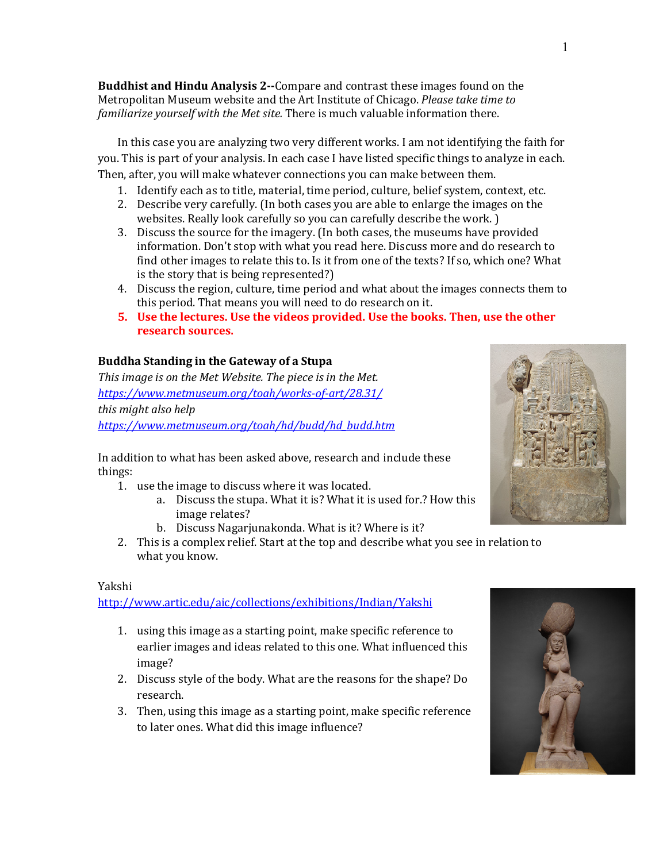**Buddhist and Hindu Analysis 2--**Compare and contrast these images found on the Metropolitan Museum website and the Art Institute of Chicago. *Please take time to familiarize yourself with the Met site.* There is much valuable information there.

In this case you are analyzing two very different works. I am not identifying the faith for you. This is part of your analysis. In each case I have listed specific things to analyze in each. Then, after, you will make whatever connections you can make between them.

- 1. Identify each as to title, material, time period, culture, belief system, context, etc.
- 2. Describe very carefully. (In both cases you are able to enlarge the images on the websites. Really look carefully so you can carefully describe the work. )
- 3. Discuss the source for the imagery. (In both cases, the museums have provided information. Don't stop with what you read here. Discuss more and do research to find other images to relate this to. Is it from one of the texts? If so, which one? What is the story that is being represented?)
- 4. Discuss the region, culture, time period and what about the images connects them to this period. That means you will need to do research on it.
- **5.** Use the lectures. Use the videos provided. Use the books. Then, use the other **research sources.**

# **Buddha Standing in the Gateway of a Stupa**

This image is on the Met Website. The piece is in the Met. *https://www.metmuseum.org/toah/works-of-art/28.31/ this* might also help *https://www.metmuseum.org/toah/hd/budd/hd\_budd.htm*

In addition to what has been asked above, research and include these things:

- 1. use the image to discuss where it was located.
	- a. Discuss the stupa. What it is? What it is used for.? How this image relates?
	- b. Discuss Nagarjunakonda. What is it? Where is it?
- 2. This is a complex relief. Start at the top and describe what you see in relation to what you know.

## Yakshi

http://www.artic.edu/aic/collections/exhibitions/Indian/Yakshi

- 1. using this image as a starting point, make specific reference to earlier images and ideas related to this one. What influenced this image?
- 2. Discuss style of the body. What are the reasons for the shape? Do research.
- 3. Then, using this image as a starting point, make specific reference to later ones. What did this image influence?



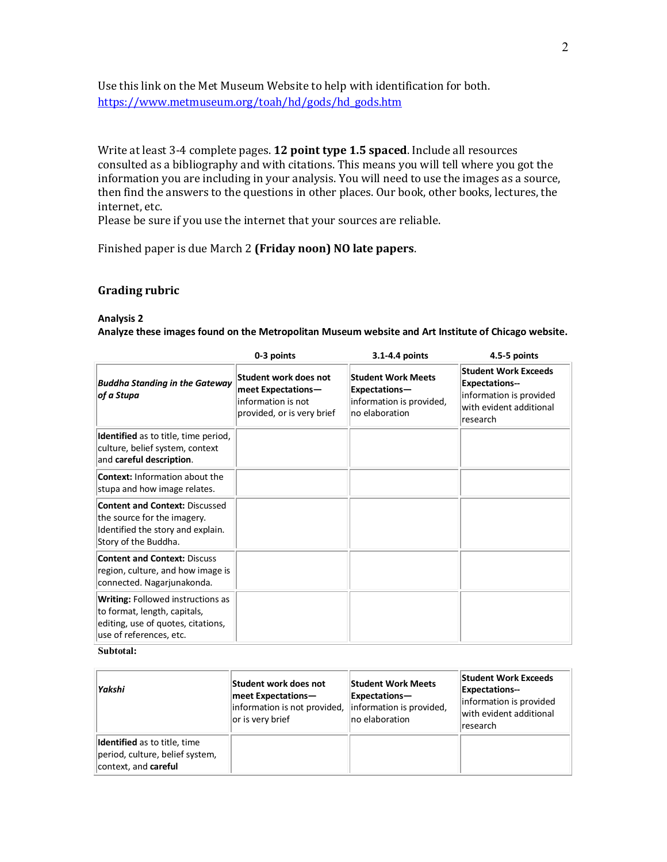Use this link on the Met Museum Website to help with identification for both. https://www.metmuseum.org/toah/hd/gods/hd\_gods.htm

Write at least 3-4 complete pages. **12 point type 1.5 spaced**. Include all resources consulted as a bibliography and with citations. This means you will tell where you got the information you are including in your analysis. You will need to use the images as a source, then find the answers to the questions in other places. Our book, other books, lectures, the internet, etc.

Please be sure if you use the internet that your sources are reliable.

Finished paper is due March 2 (Friday noon) NO late papers.

### **Grading rubric**

#### **Analysis 2**

**Analyze these images found on the Metropolitan Museum website and Art Institute of Chicago website.** 

|                                                                                                                                           | 0-3 points                                                                                      | 3.1-4.4 points                                                                           | 4.5-5 points                                                                                                           |
|-------------------------------------------------------------------------------------------------------------------------------------------|-------------------------------------------------------------------------------------------------|------------------------------------------------------------------------------------------|------------------------------------------------------------------------------------------------------------------------|
| <b>Buddha Standing in the Gateway</b><br>of a Stupa                                                                                       | Student work does not<br>meet Expectations-<br>information is not<br>provided, or is very brief | <b>Student Work Meets</b><br>Expectations-<br>information is provided,<br>no elaboration | <b>Student Work Exceeds</b><br><b>Expectations--</b><br>information is provided<br>with evident additional<br>research |
| Identified as to title, time period,<br>culture, belief system, context<br>and careful description.                                       |                                                                                                 |                                                                                          |                                                                                                                        |
| <b>Context: Information about the</b><br>stupa and how image relates.                                                                     |                                                                                                 |                                                                                          |                                                                                                                        |
| <b>Content and Context: Discussed</b><br>the source for the imagery.<br>Identified the story and explain.<br>Story of the Buddha.         |                                                                                                 |                                                                                          |                                                                                                                        |
| <b>Content and Context: Discuss</b><br>region, culture, and how image is<br>connected. Nagarjunakonda.                                    |                                                                                                 |                                                                                          |                                                                                                                        |
| <b>Writing: Followed instructions as</b><br>to format, length, capitals,<br>editing, use of quotes, citations,<br>use of references, etc. |                                                                                                 |                                                                                          |                                                                                                                        |

#### **Subtotal:**

| Yakshi                                                                                         | Student work does not<br>meet Expectations-<br>information is not provided, information is provided,<br>or is very brief | <b>Student Work Meets</b><br>Expectations-<br>no elaboration | <b>Student Work Exceeds</b><br><b>Expectations--</b><br>information is provided<br>with evident additional<br>research |
|------------------------------------------------------------------------------------------------|--------------------------------------------------------------------------------------------------------------------------|--------------------------------------------------------------|------------------------------------------------------------------------------------------------------------------------|
| <b>Identified</b> as to title, time<br>period, culture, belief system,<br>context, and careful |                                                                                                                          |                                                              |                                                                                                                        |